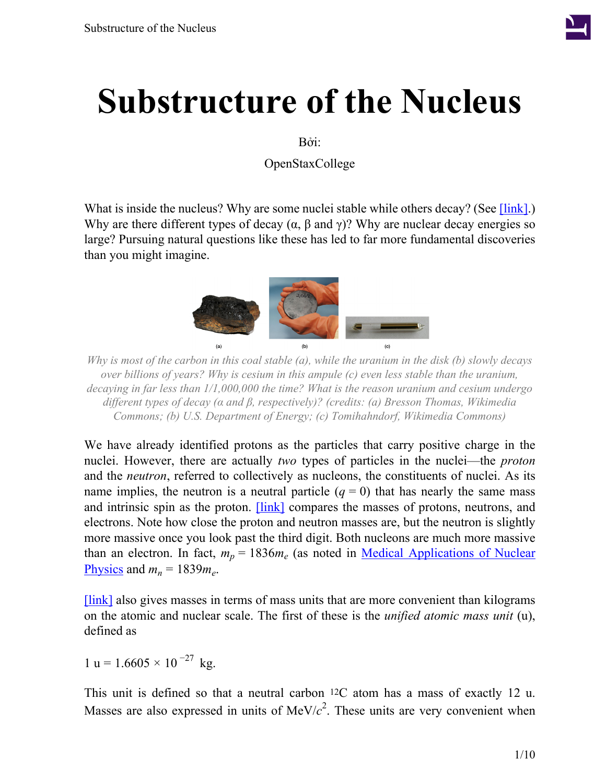

# **Substructure of the Nucleus**

Bởi:

OpenStaxCollege

What is inside the nucleus? Why are some nuclei stable while others decay? (See [\[link\].](#page-0-0)) Why are there different types of decay  $(\alpha, \beta \text{ and } \gamma)$ ? Why are nuclear decay energies so large? Pursuing natural questions like these has led to far more fundamental discoveries than you might imagine.

<span id="page-0-0"></span>

*Why is most of the carbon in this coal stable (a), while the uranium in the disk (b) slowly decays over billions of years? Why is cesium in this ampule (c) even less stable than the uranium, decaying in far less than 1/1,000,000 the time? What is the reason uranium and cesium undergo different types of decay (α and β, respectively)? (credits: (a) Bresson Thomas, Wikimedia Commons; (b) U.S. Department of Energy; (c) Tomihahndorf, Wikimedia Commons)*

We have already identified protons as the particles that carry positive charge in the nuclei. However, there are actually *two* types of particles in the nuclei—the *proton* and the *neutron*, referred to collectively as nucleons, the constituents of nuclei. As its name implies, the neutron is a neutral particle  $(q = 0)$  that has nearly the same mass and intrinsic spin as the proton. **[\[link\]](#page-1-0)** compares the masses of protons, neutrons, and electrons. Note how close the proton and neutron masses are, but the neutron is slightly more massive once you look past the third digit. Both nucleons are much more massive than an electron. In fact,  $m_p = 1836m_e$  (as noted in <u>Medical [Applications](/m42646) of Nuclear</u> [Physics](/m42646) and  $m_n = 1839m_e$ .

[\[link\]](#page-1-0) also gives masses in terms of mass units that are more convenient than kilograms on the atomic and nuclear scale. The first of these is the *unified atomic mass unit* (u), defined as

 $1 u = 1.6605 \times 10^{-27} kg$ .

This unit is defined so that a neutral carbon 12C atom has a mass of exactly 12 u. Masses are also expressed in units of  $MeV/c<sup>2</sup>$ . These units are very convenient when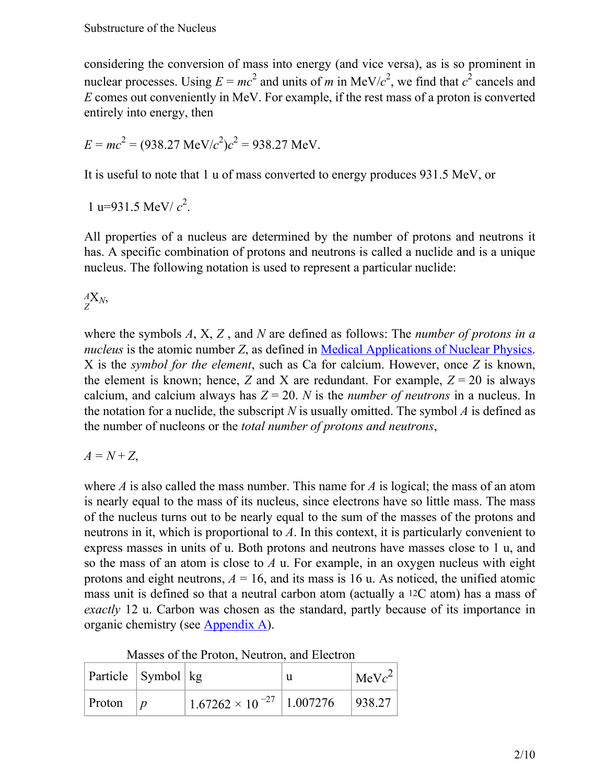considering the conversion of mass into energy (and vice versa), as is so prominent in nuclear processes. Using  $E = mc^2$  and units of *m* in MeV/ $c^2$ , we find that  $c^2$  cancels and *E* comes out conveniently in MeV. For example, if the rest mass of a proton is converted entirely into energy, then

$$
E = mc^2 = (938.27 \text{ MeV}/c^2)c^2 = 938.27 \text{ MeV}.
$$

It is useful to note that 1 u of mass converted to energy produces 931.5 MeV, or

1 u=931.5 MeV/ $c^2$ .

All properties of a nucleus are determined by the number of protons and neutrons it has. A specific combination of protons and neutrons is called a nuclide and is a unique nucleus. The following notation is used to represent a particular nuclide:

*Z <sup>A</sup>*X*N*,

where the symbols *A*, X, *Z* , and *N* are defined as follows: The *number of protons in a nucleus* is the atomic number *Z*, as defined in Medical [Applications](/m42646) of Nuclear Physics. X is the *symbol for the element*, such as Ca for calcium. However, once *Z* is known, the element is known; hence, *Z* and *X* are redundant. For example,  $Z = 20$  is always calcium, and calcium always has *Z* = 20. *N* is the *number of neutrons* in a nucleus. In the notation for a nuclide, the subscript *N* is usually omitted. The symbol *A* is defined as the number of nucleons or the *total number of protons and neutrons*,

 $A = N + Z$ 

where *A* is also called the mass number. This name for *A* is logical; the mass of an atom is nearly equal to the mass of its nucleus, since electrons have so little mass. The mass of the nucleus turns out to be nearly equal to the sum of the masses of the protons and neutrons in it, which is proportional to *A*. In this context, it is particularly convenient to express masses in units of u. Both protons and neutrons have masses close to 1 u, and so the mass of an atom is close to *A* u. For example, in an oxygen nucleus with eight protons and eight neutrons,  $A = 16$ , and its mass is 16 u. As noticed, the unified atomic mass unit is defined so that a neutral carbon atom (actually a 12C atom) has a mass of *exactly* 12 u. Carbon was chosen as the standard, partly because of its importance in organic chemistry (see [Appendix A\)](/m42699).

Masses of the Proton, Neutron, and Electron

<span id="page-1-0"></span>

| $\vert$ Particle $\vert$ Symbol $\vert$ kg |                                                                | $\vert$ MeV $c^2$ $\vert$ |
|--------------------------------------------|----------------------------------------------------------------|---------------------------|
| Proton $ p $                               | $^{+}$ 1.67262 $\times$ 10 $^{-27}$   1.007276 $^{-}$   938.27 |                           |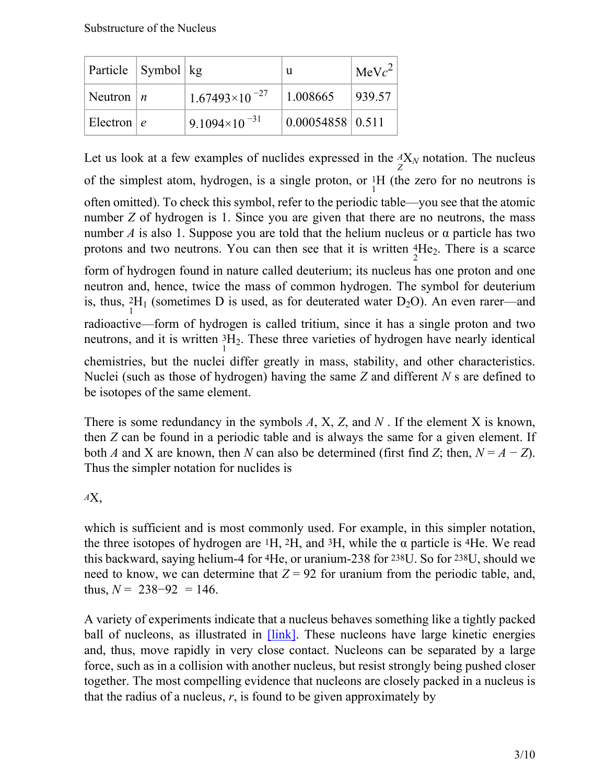| Particle   Symbol   kg |                          | u                       | $\text{MeV}c^2$ |
|------------------------|--------------------------|-------------------------|-----------------|
| Neutron $ n $          | $1.67493\times10^{-27}$  | 1.008665                | 939.57          |
| Electron $ e $         | 9.1094×10 <sup>-31</sup> | $0.00054858 \mid 0.511$ |                 |

Let us look at a few examples of nuclides expressed in the  ${}_{Z}^{A}X_N$  notation. The nucleus of the simplest atom, hydrogen, is a single proton, or  ${}^{1}_{1}H$  (the zero for no neutrons is often omitted). To check this symbol, refer to the periodic table—you see that the atomic number *Z* of hydrogen is 1. Since you are given that there are no neutrons, the mass number *A* is also 1. Suppose you are told that the helium nucleus or  $\alpha$  particle has two protons and two neutrons. You can then see that it is written  ${}^{4}_{2}He_2$ . There is a scarce

form of hydrogen found in nature called deuterium; its nucleus has one proton and one neutron and, hence, twice the mass of common hydrogen. The symbol for deuterium is, thus,  ${}^{2}_{1}H_1$  (sometimes D is used, as for deuterated water D<sub>2</sub>O). An even rarer—and radioactive—form of hydrogen is called tritium, since it has a single proton and two neutrons, and it is written  ${}^{3}_{1}H_2$ . These three varieties of hydrogen have nearly identical

chemistries, but the nuclei differ greatly in mass, stability, and other characteristics. Nuclei (such as those of hydrogen) having the same *Z* and different *N* s are defined to be isotopes of the same element.

There is some redundancy in the symbols *A*, X, *Z*, and *N* . If the element X is known, then *Z* can be found in a periodic table and is always the same for a given element. If both *A* and *X* are known, then *N* can also be determined (first find *Z*; then,  $N = A - Z$ ). Thus the simpler notation for nuclides is

*A*X,

which is sufficient and is most commonly used. For example, in this simpler notation, the three isotopes of hydrogen are  $H$ ,  $2H$ , and  $H$ , while the  $\alpha$  particle is  $H$ e. We read this backward, saying helium-4 for 4He, or uranium-238 for 238U. So for 238U, should we need to know, we can determine that  $Z = 92$  for uranium from the periodic table, and, thus,  $N = 238 - 92 = 146$ .

A variety of experiments indicate that a nucleus behaves something like a tightly packed ball of nucleons, as illustrated in  $[\text{link}]$ . These nucleons have large kinetic energies and, thus, move rapidly in very close contact. Nucleons can be separated by a large force, such as in a collision with another nucleus, but resist strongly being pushed closer together. The most compelling evidence that nucleons are closely packed in a nucleus is that the radius of a nucleus,  $r$ , is found to be given approximately by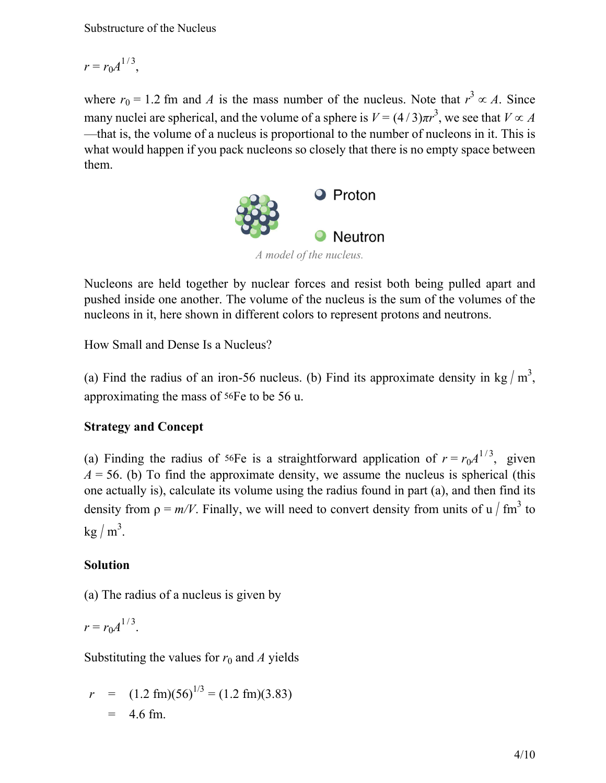Substructure of the Nucleus

$$
r = r_0 A^{1/3},
$$

where  $r_0 = 1.2$  fm and *A* is the mass number of the nucleus. Note that  $r^3 \propto A$ . Since many nuclei are spherical, and the volume of a sphere is  $V = (4/3)\pi r^3$ , we see that  $V \propto A$ —that is, the volume of a nucleus is proportional to the number of nucleons in it. This is what would happen if you pack nucleons so closely that there is no empty space between them.



<span id="page-3-0"></span>Nucleons are held together by nuclear forces and resist both being pulled apart and pushed inside one another. The volume of the nucleus is the sum of the volumes of the nucleons in it, here shown in different colors to represent protons and neutrons.

<span id="page-3-1"></span>How Small and Dense Is a Nucleus?

(a) Find the radius of an iron-56 nucleus. (b) Find its approximate density in kg  $/m<sup>3</sup>$ , approximating the mass of 56Fe to be 56 u.

#### **Strategy and Concept**

(a) Finding the radius of <sup>56</sup>Fe is a straightforward application of  $r = r_0 A^{1/3}$ , given  $A = 56$ . (b) To find the approximate density, we assume the nucleus is spherical (this one actually is), calculate its volume using the radius found in part (a), and then find its density from  $\rho = m/V$ . Finally, we will need to convert density from units of u / fm<sup>3</sup> to  $\text{kg}/\text{m}^3$ .

#### **Solution**

(a) The radius of a nucleus is given by

 $r = r_0 A^{1/3}.$ 

Substituting the values for  $r_0$  and *A* yields

$$
r = (1.2 \text{ fm})(56)^{1/3} = (1.2 \text{ fm})(3.83)
$$
  
= 4.6 fm.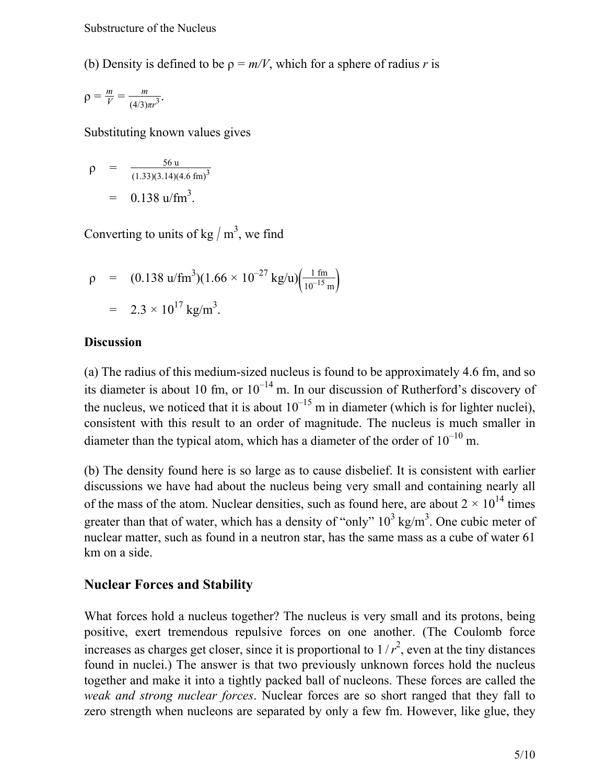(b) Density is defined to be  $\rho = m/V$ , which for a sphere of radius *r* is

$$
\rho = \frac{m}{V} = \frac{m}{(4/3)\pi r^3}.
$$

Substituting known values gives

$$
\rho = \frac{56 \text{ u}}{(1.33)(3.14)(4.6 \text{ fm})^3}
$$

$$
= 0.138 \text{ u/fm}^3.
$$

Converting to units of  $\text{kg}/\text{m}^3$ , we find

$$
\rho = (0.138 \text{ u/fm}^3)(1.66 \times 10^{-27} \text{ kg/u}) \left(\frac{1 \text{ fm}}{10^{-15} \text{ m}}\right)
$$
  
= 2.3 × 10<sup>17</sup> kg/m<sup>3</sup>.

#### **Discussion**

(a) The radius of this medium-sized nucleus is found to be approximately 4.6 fm, and so its diameter is about 10 fm, or  $10^{-14}$  m. In our discussion of Rutherford's discovery of the nucleus, we noticed that it is about  $10^{-15}$  m in diameter (which is for lighter nuclei), consistent with this result to an order of magnitude. The nucleus is much smaller in diameter than the typical atom, which has a diameter of the order of  $10^{-10}$  m.

(b) The density found here is so large as to cause disbelief. It is consistent with earlier discussions we have had about the nucleus being very small and containing nearly all of the mass of the atom. Nuclear densities, such as found here, are about  $2 \times 10^{14}$  times greater than that of water, which has a density of "only"  $10^3$  kg/m<sup>3</sup>. One cubic meter of nuclear matter, such as found in a neutron star, has the same mass as a cube of water 61 km on a side.

#### **Nuclear Forces and Stability**

What forces hold a nucleus together? The nucleus is very small and its protons, being positive, exert tremendous repulsive forces on one another. (The Coulomb force increases as charges get closer, since it is proportional to  $1/r^2$ , even at the tiny distances found in nuclei.) The answer is that two previously unknown forces hold the nucleus together and make it into a tightly packed ball of nucleons. These forces are called the *weak and strong nuclear forces*. Nuclear forces are so short ranged that they fall to zero strength when nucleons are separated by only a few fm. However, like glue, they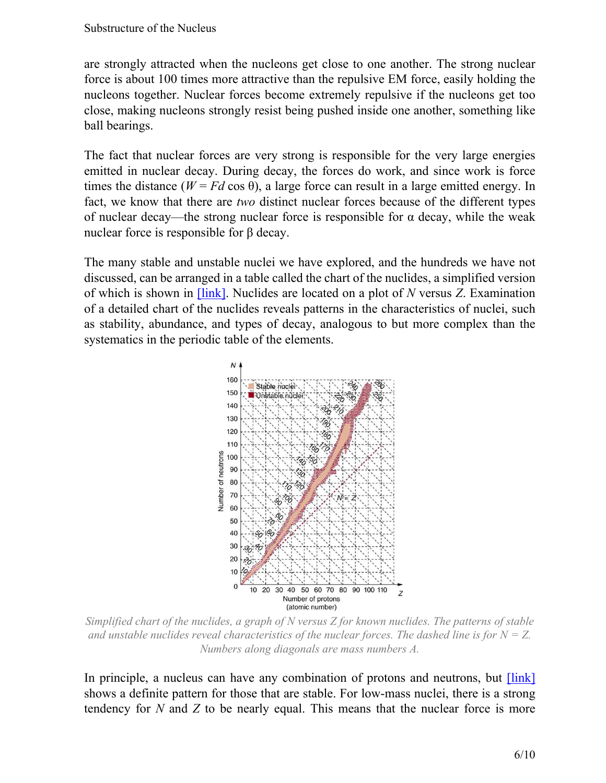are strongly attracted when the nucleons get close to one another. The strong nuclear force is about 100 times more attractive than the repulsive EM force, easily holding the nucleons together. Nuclear forces become extremely repulsive if the nucleons get too close, making nucleons strongly resist being pushed inside one another, something like ball bearings.

The fact that nuclear forces are very strong is responsible for the very large energies emitted in nuclear decay. During decay, the forces do work, and since work is force times the distance ( $W = Fd \cos \theta$ ), a large force can result in a large emitted energy. In fact, we know that there are *two* distinct nuclear forces because of the different types of nuclear decay—the strong nuclear force is responsible for  $\alpha$  decay, while the weak nuclear force is responsible for β decay.

<span id="page-5-0"></span>The many stable and unstable nuclei we have explored, and the hundreds we have not discussed, can be arranged in a table called the chart of the nuclides, a simplified version of which is shown in [\[link\]](#page-5-0). Nuclides are located on a plot of *N* versus *Z*. Examination of a detailed chart of the nuclides reveals patterns in the characteristics of nuclei, such as stability, abundance, and types of decay, analogous to but more complex than the systematics in the periodic table of the elements.



*Simplified chart of the nuclides, a graph of N versus Z for known nuclides. The patterns of stable and unstable nuclides reveal characteristics of the nuclear forces. The dashed line is for*  $N = Z$ . *Numbers along diagonals are mass numbers A.*

In principle, a nucleus can have any combination of protons and neutrons, but  $[\text{link}]$ shows a definite pattern for those that are stable. For low-mass nuclei, there is a strong tendency for *N* and *Z* to be nearly equal. This means that the nuclear force is more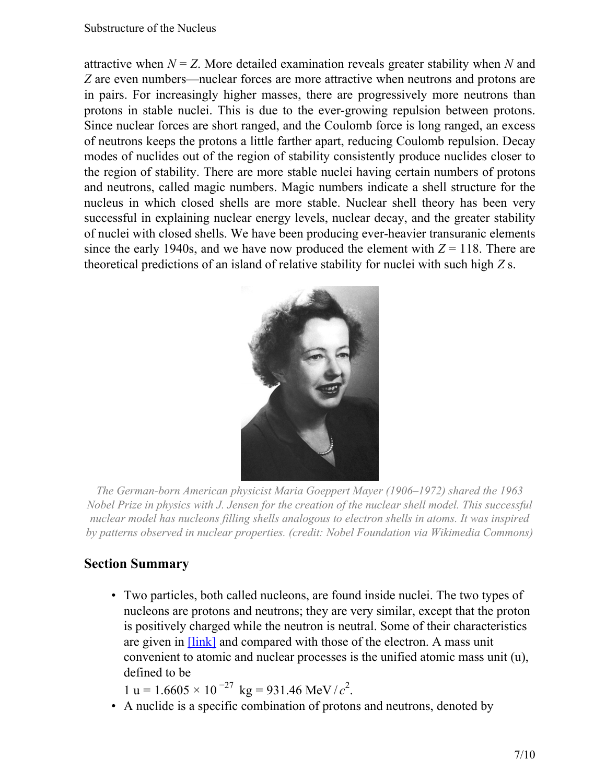attractive when  $N = Z$ . More detailed examination reveals greater stability when N and *Z* are even numbers—nuclear forces are more attractive when neutrons and protons are in pairs. For increasingly higher masses, there are progressively more neutrons than protons in stable nuclei. This is due to the ever-growing repulsion between protons. Since nuclear forces are short ranged, and the Coulomb force is long ranged, an excess of neutrons keeps the protons a little farther apart, reducing Coulomb repulsion. Decay modes of nuclides out of the region of stability consistently produce nuclides closer to the region of stability. There are more stable nuclei having certain numbers of protons and neutrons, called magic numbers. Magic numbers indicate a shell structure for the nucleus in which closed shells are more stable. Nuclear shell theory has been very successful in explaining nuclear energy levels, nuclear decay, and the greater stability of nuclei with closed shells. We have been producing ever-heavier transuranic elements since the early 1940s, and we have now produced the element with  $Z = 118$ . There are theoretical predictions of an island of relative stability for nuclei with such high *Z* s.



*The German-born American physicist Maria Goeppert Mayer (1906–1972) shared the 1963 Nobel Prize in physics with J. Jensen for the creation of the nuclear shell model. This successful nuclear model has nucleons filling shells analogous to electron shells in atoms. It was inspired by patterns observed in nuclear properties. (credit: Nobel Foundation via Wikimedia Commons)*

### **Section Summary**

• Two particles, both called nucleons, are found inside nuclei. The two types of nucleons are protons and neutrons; they are very similar, except that the proton is positively charged while the neutron is neutral. Some of their characteristics are given in [\[link\]](#page-1-0) and compared with those of the electron. A mass unit convenient to atomic and nuclear processes is the unified atomic mass unit (u), defined to be

 $1 u = 1.6605 \times 10^{-27} kg = 931.46 MeV/c^2$ .

• A nuclide is a specific combination of protons and neutrons, denoted by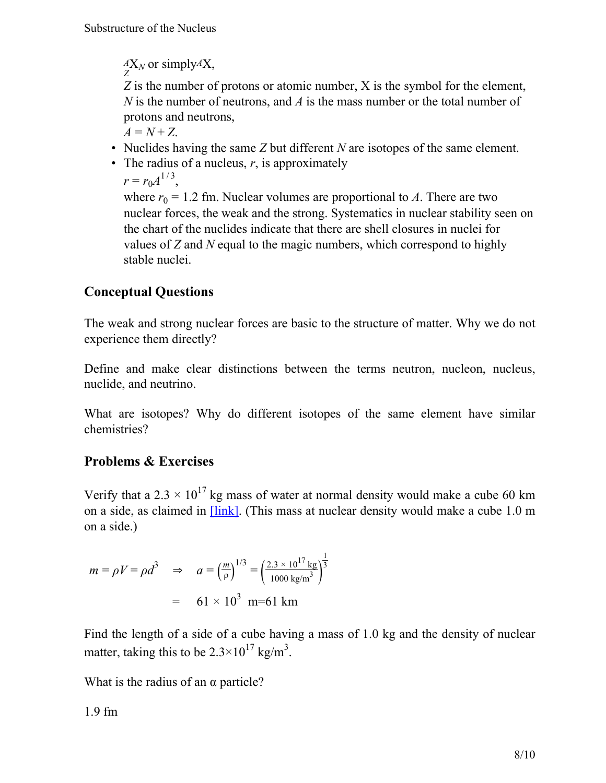$^{A}_{Z}$ X<sub>*N*</sub> or simply<sup>A</sup>X,

*Z* is the number of protons or atomic number, X is the symbol for the element, *N* is the number of neutrons, and *A* is the mass number or the total number of protons and neutrons,

 $A = N + Z$ .

- Nuclides having the same *Z* but different *N* are isotopes of the same element.
- The radius of a nucleus, *r*, is approximately

 $r = r_0 A^{1/3},$ 

where  $r_0 = 1.2$  fm. Nuclear volumes are proportional to *A*. There are two nuclear forces, the weak and the strong. Systematics in nuclear stability seen on the chart of the nuclides indicate that there are shell closures in nuclei for values of *Z* and *N* equal to the magic numbers, which correspond to highly stable nuclei.

## **Conceptual Questions**

The weak and strong nuclear forces are basic to the structure of matter. Why we do not experience them directly?

Define and make clear distinctions between the terms neutron, nucleon, nucleus, nuclide, and neutrino.

What are isotopes? Why do different isotopes of the same element have similar chemistries?

## **Problems & Exercises**

Verify that a 2.3  $\times$  10<sup>17</sup> kg mass of water at normal density would make a cube 60 km on a side, as claimed in [\[link\]](#page-3-1). (This mass at nuclear density would make a cube 1.0 m on a side.)

$$
m = \rho V = \rho d^3 \quad \Rightarrow \quad a = \left(\frac{m}{\rho}\right)^{1/3} = \left(\frac{2.3 \times 10^{17} \text{ kg}}{1000 \text{ kg/m}^3}\right)^{\frac{1}{3}}
$$

$$
= 61 \times 10^3 \text{ m} = 61 \text{ km}
$$

Find the length of a side of a cube having a mass of 1.0 kg and the density of nuclear matter, taking this to be  $2.3 \times 10^{17}$  kg/m<sup>3</sup>.

What is the radius of an  $\alpha$  particle?

1.9 fm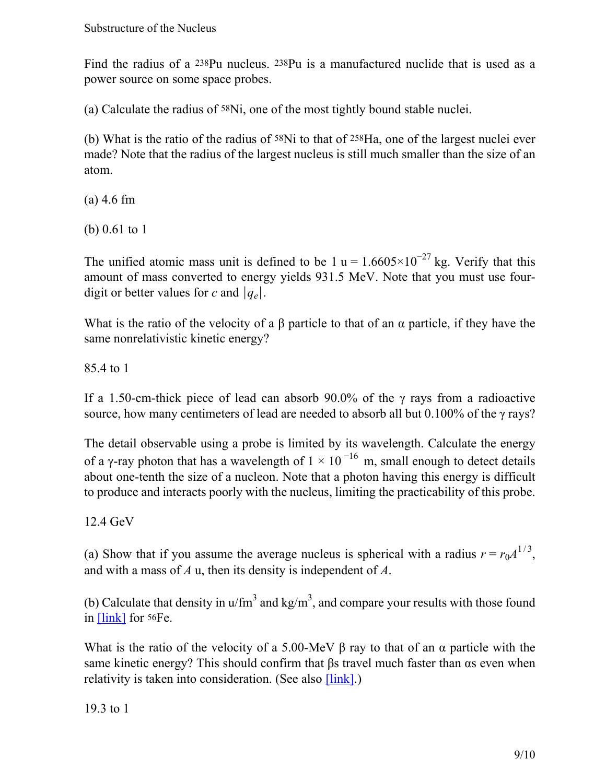Find the radius of a 238Pu nucleus. 238Pu is a manufactured nuclide that is used as a power source on some space probes.

(a) Calculate the radius of 58Ni, one of the most tightly bound stable nuclei.

(b) What is the ratio of the radius of 58Ni to that of 258Ha, one of the largest nuclei ever made? Note that the radius of the largest nucleus is still much smaller than the size of an atom.

(a) 4.6 fm

(b) 0.61 to 1

The unified atomic mass unit is defined to be 1 u =  $1.6605 \times 10^{-27}$  kg. Verify that this amount of mass converted to energy yields 931.5 MeV. Note that you must use fourdigit or better values for *c* and ∣*qe*∣.

<span id="page-8-0"></span>What is the ratio of the velocity of a  $\beta$  particle to that of an  $\alpha$  particle, if they have the same nonrelativistic kinetic energy?

85.4 to 1

If a 1.50-cm-thick piece of lead can absorb 90.0% of the  $\gamma$  rays from a radioactive source, how many centimeters of lead are needed to absorb all but 0.100% of the γ rays?

The detail observable using a probe is limited by its wavelength. Calculate the energy of a γ-ray photon that has a wavelength of  $1 \times 10^{-16}$  m, small enough to detect details about one-tenth the size of a nucleon. Note that a photon having this energy is difficult to produce and interacts poorly with the nucleus, limiting the practicability of this probe.

12.4 GeV

(a) Show that if you assume the average nucleus is spherical with a radius  $r = r_0 A^{1/3}$ , and with a mass of *A* u, then its density is independent of *A*.

(b) Calculate that density in  $u/m<sup>3</sup>$  and kg/m<sup>3</sup>, and compare your results with those found in [\[link\]](#page-3-1) for 56Fe.

What is the ratio of the velocity of a 5.00-MeV  $\beta$  ray to that of an  $\alpha$  particle with the same kinetic energy? This should confirm that βs travel much faster than αs even when relativity is taken into consideration. (See also  $\boxed{\text{link}}$ .)

19.3 to 1